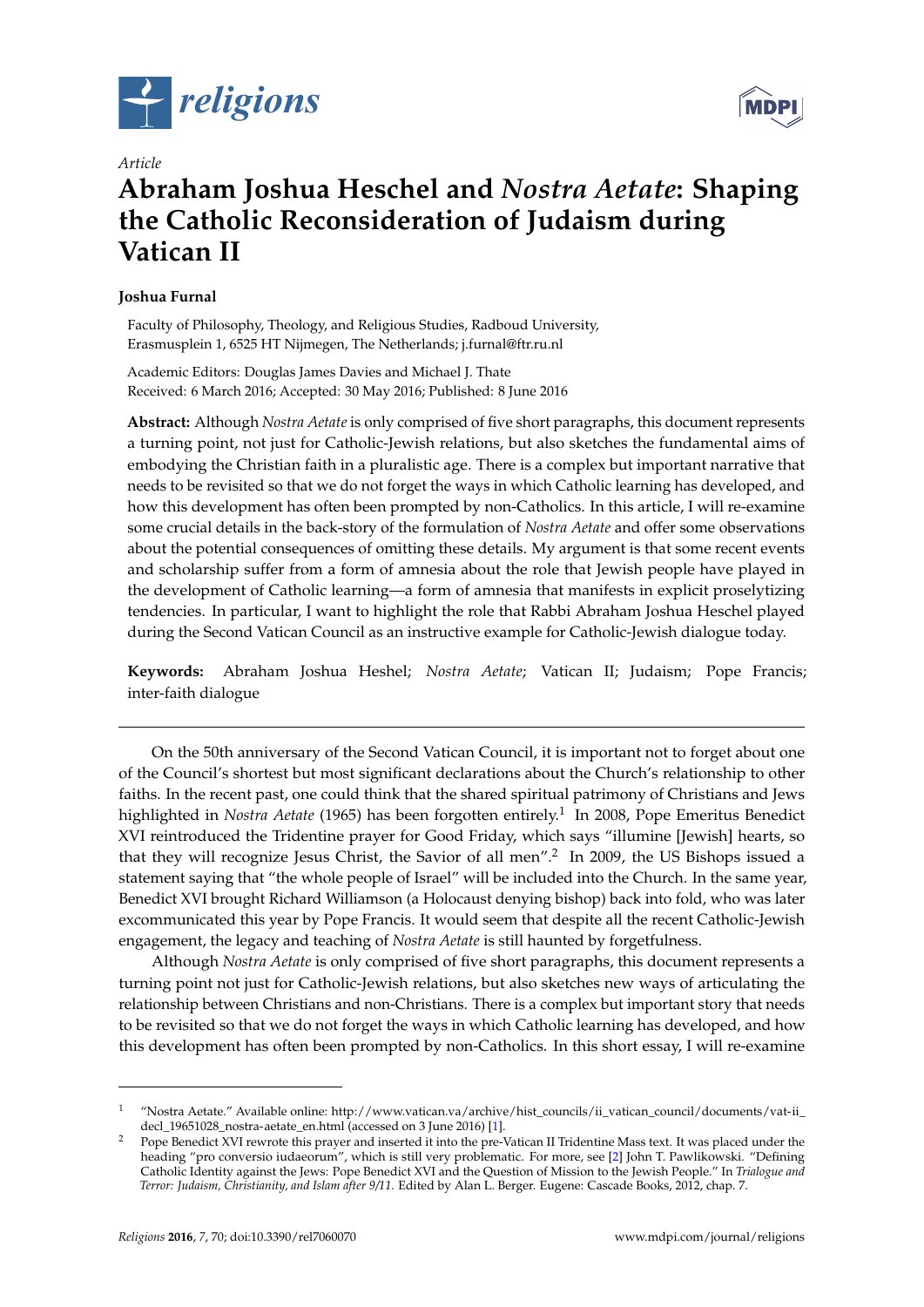



# *Article* **Abraham Joshua Heschel and** *Nostra Aetate***: Shaping the Catholic Reconsideration of Judaism during Vatican II**

# **Joshua Furnal**

Faculty of Philosophy, Theology, and Religious Studies, Radboud University, Erasmusplein 1, 6525 HT Nijmegen, The Netherlands; j.furnal@ftr.ru.nl

Academic Editors: Douglas James Davies and Michael J. Thate Received: 6 March 2016; Accepted: 30 May 2016; Published: 8 June 2016

**Abstract:** Although *Nostra Aetate* is only comprised of five short paragraphs, this document represents a turning point, not just for Catholic-Jewish relations, but also sketches the fundamental aims of embodying the Christian faith in a pluralistic age. There is a complex but important narrative that needs to be revisited so that we do not forget the ways in which Catholic learning has developed, and how this development has often been prompted by non-Catholics. In this article, I will re-examine some crucial details in the back-story of the formulation of *Nostra Aetate* and offer some observations about the potential consequences of omitting these details. My argument is that some recent events and scholarship suffer from a form of amnesia about the role that Jewish people have played in the development of Catholic learning—a form of amnesia that manifests in explicit proselytizing tendencies. In particular, I want to highlight the role that Rabbi Abraham Joshua Heschel played during the Second Vatican Council as an instructive example for Catholic-Jewish dialogue today.

**Keywords:** Abraham Joshua Heshel; *Nostra Aetate*; Vatican II; Judaism; Pope Francis; inter-faith dialogue

On the 50th anniversary of the Second Vatican Council, it is important not to forget about one of the Council's shortest but most significant declarations about the Church's relationship to other faiths. In the recent past, one could think that the shared spiritual patrimony of Christians and Jews highlighted in *Nostra Aetate* (1965) has been forgotten entirely.<sup>1</sup> In 2008, Pope Emeritus Benedict XVI reintroduced the Tridentine prayer for Good Friday, which says "illumine [Jewish] hearts, so that they will recognize Jesus Christ, the Savior of all men".<sup>2</sup> In 2009, the US Bishops issued a statement saying that "the whole people of Israel" will be included into the Church. In the same year, Benedict XVI brought Richard Williamson (a Holocaust denying bishop) back into fold, who was later excommunicated this year by Pope Francis. It would seem that despite all the recent Catholic-Jewish engagement, the legacy and teaching of *Nostra Aetate* is still haunted by forgetfulness.

Although *Nostra Aetate* is only comprised of five short paragraphs, this document represents a turning point not just for Catholic-Jewish relations, but also sketches new ways of articulating the relationship between Christians and non-Christians. There is a complex but important story that needs to be revisited so that we do not forget the ways in which Catholic learning has developed, and how this development has often been prompted by non-Catholics. In this short essay, I will re-examine

<sup>&</sup>lt;sup>1</sup> "Nostra Aetate." Available online: [http://www.vatican.va/archive/hist\\_councils/ii\\_vatican\\_council/documents/vat-ii\\_](http://www.vatican.va/archive/hist_councils/ii_vatican_council/documents/vat-ii_decl_19651028_nostra-aetate_en.html) [decl\\_19651028\\_nostra-aetate\\_en.html](http://www.vatican.va/archive/hist_councils/ii_vatican_council/documents/vat-ii_decl_19651028_nostra-aetate_en.html) (accessed on 3 June 2016) [\[1\]](#page-10-0).

<sup>2</sup> Pope Benedict XVI rewrote this prayer and inserted it into the pre-Vatican II Tridentine Mass text. It was placed under the heading "pro conversio iudaeorum", which is still very problematic. For more, see [\[2\]](#page-10-1) John T. Pawlikowski. "Defining Catholic Identity against the Jews: Pope Benedict XVI and the Question of Mission to the Jewish People." In *Trialogue and Terror: Judaism, Christianity, and Islam after 9/11*. Edited by Alan L. Berger. Eugene: Cascade Books, 2012, chap. 7.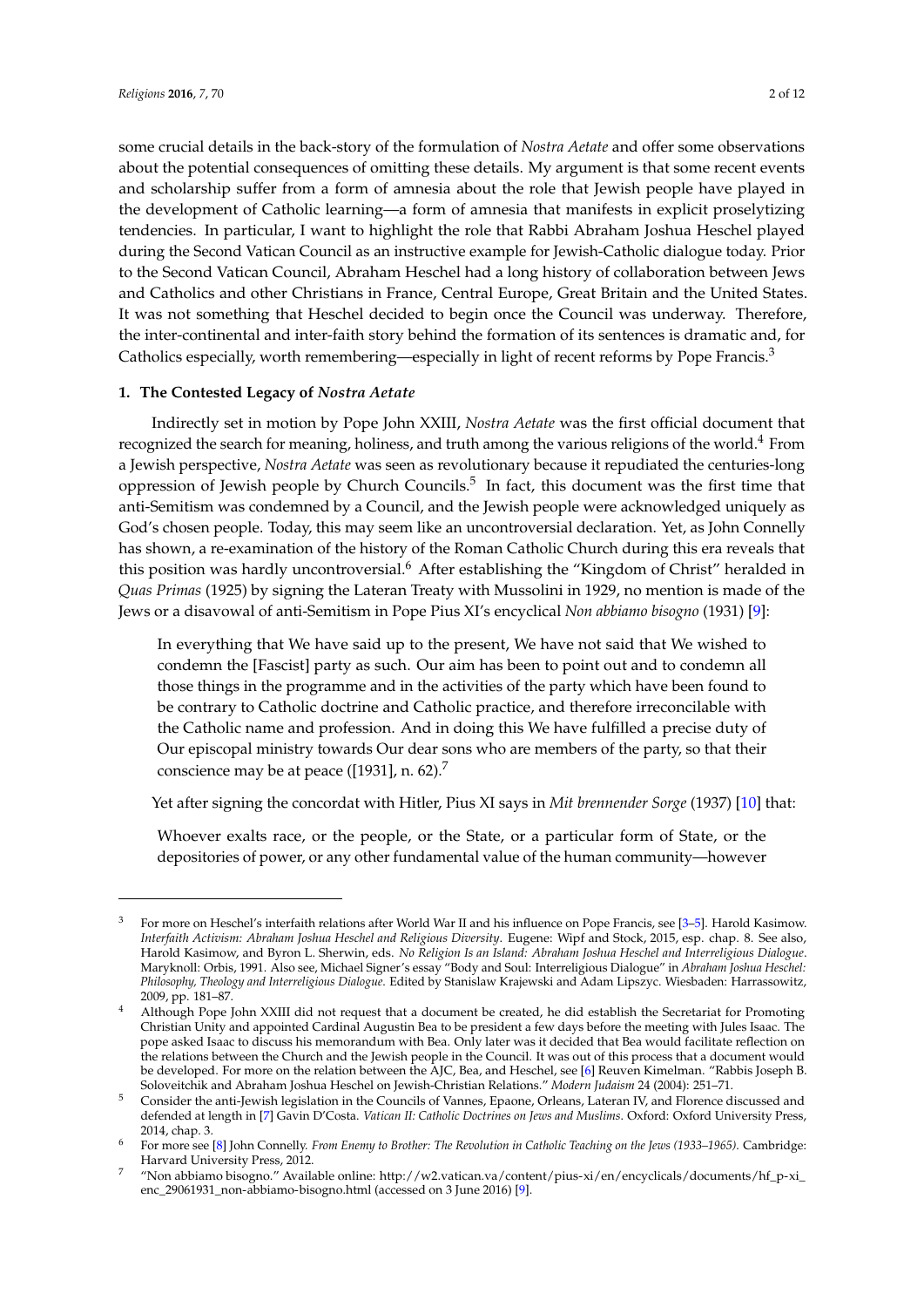some crucial details in the back-story of the formulation of *Nostra Aetate* and offer some observations about the potential consequences of omitting these details. My argument is that some recent events and scholarship suffer from a form of amnesia about the role that Jewish people have played in the development of Catholic learning—a form of amnesia that manifests in explicit proselytizing tendencies. In particular, I want to highlight the role that Rabbi Abraham Joshua Heschel played during the Second Vatican Council as an instructive example for Jewish-Catholic dialogue today. Prior to the Second Vatican Council, Abraham Heschel had a long history of collaboration between Jews and Catholics and other Christians in France, Central Europe, Great Britain and the United States. It was not something that Heschel decided to begin once the Council was underway. Therefore, the inter-continental and inter-faith story behind the formation of its sentences is dramatic and, for Catholics especially, worth remembering—especially in light of recent reforms by Pope Francis.<sup>3</sup>

### **1. The Contested Legacy of** *Nostra Aetate*

Indirectly set in motion by Pope John XXIII, *Nostra Aetate* was the first official document that recognized the search for meaning, holiness, and truth among the various religions of the world.<sup>4</sup> From a Jewish perspective, *Nostra Aetate* was seen as revolutionary because it repudiated the centuries-long oppression of Jewish people by Church Councils.<sup>5</sup> In fact, this document was the first time that anti-Semitism was condemned by a Council, and the Jewish people were acknowledged uniquely as God's chosen people. Today, this may seem like an uncontroversial declaration. Yet, as John Connelly has shown, a re-examination of the history of the Roman Catholic Church during this era reveals that this position was hardly uncontroversial.<sup>6</sup> After establishing the "Kingdom of Christ" heralded in *Quas Primas* (1925) by signing the Lateran Treaty with Mussolini in 1929, no mention is made of the Jews or a disavowal of anti-Semitism in Pope Pius XI's encyclical *Non abbiamo bisogno* (1931) [\[9\]](#page-10-2):

In everything that We have said up to the present, We have not said that We wished to condemn the [Fascist] party as such. Our aim has been to point out and to condemn all those things in the programme and in the activities of the party which have been found to be contrary to Catholic doctrine and Catholic practice, and therefore irreconcilable with the Catholic name and profession. And in doing this We have fulfilled a precise duty of Our episcopal ministry towards Our dear sons who are members of the party, so that their conscience may be at peace ([1931], n. 62).<sup>7</sup>

Yet after signing the concordat with Hitler, Pius XI says in *Mit brennender Sorge* (1937) [\[10\]](#page-10-3) that:

Whoever exalts race, or the people, or the State, or a particular form of State, or the depositories of power, or any other fundamental value of the human community—however

<sup>3</sup> For more on Heschel's interfaith relations after World War II and his influence on Pope Francis, see [\[3–](#page-10-4)[5\]](#page-10-5). Harold Kasimow. *Interfaith Activism: Abraham Joshua Heschel and Religious Diversity*. Eugene: Wipf and Stock, 2015, esp. chap. 8. See also, Harold Kasimow, and Byron L. Sherwin, eds. *No Religion Is an Island: Abraham Joshua Heschel and Interreligious Dialogue*. Maryknoll: Orbis, 1991. Also see, Michael Signer's essay "Body and Soul: Interreligious Dialogue" in *Abraham Joshua Heschel: Philosophy, Theology and Interreligious Dialogue*. Edited by Stanislaw Krajewski and Adam Lipszyc. Wiesbaden: Harrassowitz, 2009, pp. 181–87.

<sup>4</sup> Although Pope John XXIII did not request that a document be created, he did establish the Secretariat for Promoting Christian Unity and appointed Cardinal Augustin Bea to be president a few days before the meeting with Jules Isaac. The pope asked Isaac to discuss his memorandum with Bea. Only later was it decided that Bea would facilitate reflection on the relations between the Church and the Jewish people in the Council. It was out of this process that a document would be developed. For more on the relation between the AJC, Bea, and Heschel, see [\[6\]](#page-10-6) Reuven Kimelman. "Rabbis Joseph B. Soloveitchik and Abraham Joshua Heschel on Jewish-Christian Relations." *Modern Judaism* 24 (2004): 251–71.

<sup>5</sup> Consider the anti-Jewish legislation in the Councils of Vannes, Epaone, Orleans, Lateran IV, and Florence discussed and defended at length in [\[7\]](#page-10-7) Gavin D'Costa. *Vatican II: Catholic Doctrines on Jews and Muslims*. Oxford: Oxford University Press, 2014, chap. 3.

<sup>6</sup> For more see [\[8\]](#page-10-8) John Connelly. *From Enemy to Brother: The Revolution in Catholic Teaching on the Jews (1933–1965)*. Cambridge: Harvard University Press, 2012.

<sup>7</sup> "Non abbiamo bisogno." Available online: [http://w2.vatican.va/content/pius-xi/en/encyclicals/documents/hf\\_p-xi\\_](http://w2.vatican.va/content/pius-xi/en/encyclicals/documents/hf_p-xi_enc_29061931_non-abbiamo-bisogno.html) [enc\\_29061931\\_non-abbiamo-bisogno.html](http://w2.vatican.va/content/pius-xi/en/encyclicals/documents/hf_p-xi_enc_29061931_non-abbiamo-bisogno.html) (accessed on 3 June 2016) [\[9\]](#page-10-2).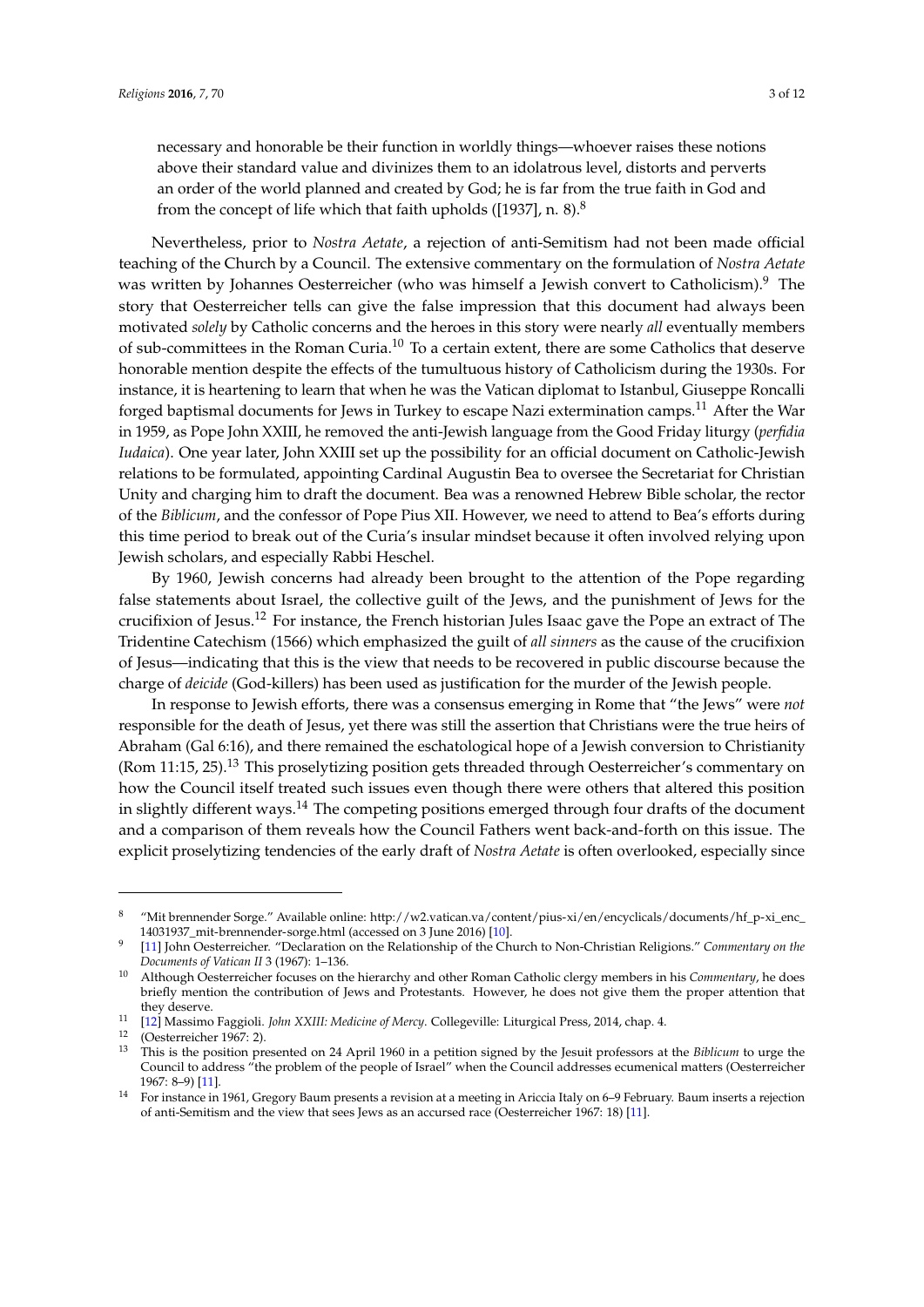necessary and honorable be their function in worldly things—whoever raises these notions above their standard value and divinizes them to an idolatrous level, distorts and perverts an order of the world planned and created by God; he is far from the true faith in God and from the concept of life which that faith upholds ([1937], n. 8). $8$ 

Nevertheless, prior to *Nostra Aetate*, a rejection of anti-Semitism had not been made official teaching of the Church by a Council. The extensive commentary on the formulation of *Nostra Aetate* was written by Johannes Oesterreicher (who was himself a Jewish convert to Catholicism).<sup>9</sup> The story that Oesterreicher tells can give the false impression that this document had always been motivated *solely* by Catholic concerns and the heroes in this story were nearly *all* eventually members of sub-committees in the Roman Curia.<sup>10</sup> To a certain extent, there are some Catholics that deserve honorable mention despite the effects of the tumultuous history of Catholicism during the 1930s. For instance, it is heartening to learn that when he was the Vatican diplomat to Istanbul, Giuseppe Roncalli forged baptismal documents for Jews in Turkey to escape Nazi extermination camps.<sup>11</sup> After the War in 1959, as Pope John XXIII, he removed the anti-Jewish language from the Good Friday liturgy (*perfidia Iudaica*). One year later, John XXIII set up the possibility for an official document on Catholic-Jewish relations to be formulated, appointing Cardinal Augustin Bea to oversee the Secretariat for Christian Unity and charging him to draft the document. Bea was a renowned Hebrew Bible scholar, the rector of the *Biblicum*, and the confessor of Pope Pius XII. However, we need to attend to Bea's efforts during this time period to break out of the Curia's insular mindset because it often involved relying upon Jewish scholars, and especially Rabbi Heschel.

By 1960, Jewish concerns had already been brought to the attention of the Pope regarding false statements about Israel, the collective guilt of the Jews, and the punishment of Jews for the crucifixion of Jesus.<sup>12</sup> For instance, the French historian Jules Isaac gave the Pope an extract of The Tridentine Catechism (1566) which emphasized the guilt of *all sinners* as the cause of the crucifixion of Jesus—indicating that this is the view that needs to be recovered in public discourse because the charge of *deicide* (God-killers) has been used as justification for the murder of the Jewish people.

In response to Jewish efforts, there was a consensus emerging in Rome that "the Jews" were *not* responsible for the death of Jesus, yet there was still the assertion that Christians were the true heirs of Abraham (Gal 6:16), and there remained the eschatological hope of a Jewish conversion to Christianity (Rom 11:15, 25).<sup>13</sup> This proselytizing position gets threaded through Oesterreicher's commentary on how the Council itself treated such issues even though there were others that altered this position in slightly different ways.<sup>14</sup> The competing positions emerged through four drafts of the document and a comparison of them reveals how the Council Fathers went back-and-forth on this issue. The explicit proselytizing tendencies of the early draft of *Nostra Aetate* is often overlooked, especially since

<sup>8</sup> "Mit brennender Sorge." Available online: [http://w2.vatican.va/content/pius-xi/en/encyclicals/documents/hf\\_p-xi\\_enc\\_](http://w2.vatican.va/content/pius-xi/en/encyclicals/documents/hf_p-xi_enc_14031937_mit-brennender-sorge.html) [14031937\\_mit-brennender-sorge.html](http://w2.vatican.va/content/pius-xi/en/encyclicals/documents/hf_p-xi_enc_14031937_mit-brennender-sorge.html) (accessed on 3 June 2016) [\[10\]](#page-10-3).

<sup>9</sup> [\[11\]](#page-10-9) John Oesterreicher. "Declaration on the Relationship of the Church to Non-Christian Religions." *Commentary on the Documents of Vatican II* 3 (1967): 1–136.

<sup>10</sup> Although Oesterreicher focuses on the hierarchy and other Roman Catholic clergy members in his *Commentary*, he does briefly mention the contribution of Jews and Protestants. However, he does not give them the proper attention that they deserve.

<sup>11</sup> [\[12\]](#page-10-10) Massimo Faggioli. *John XXIII: Medicine of Mercy*. Collegeville: Liturgical Press, 2014, chap. 4.

<sup>12</sup> (Oesterreicher 1967: 2).

<sup>13</sup> This is the position presented on 24 April 1960 in a petition signed by the Jesuit professors at the *Biblicum* to urge the Council to address "the problem of the people of Israel" when the Council addresses ecumenical matters (Oesterreicher 1967: 8–9) [\[11\]](#page-10-9).

<sup>14</sup> For instance in 1961, Gregory Baum presents a revision at a meeting in Ariccia Italy on 6–9 February. Baum inserts a rejection of anti-Semitism and the view that sees Jews as an accursed race (Oesterreicher 1967: 18) [\[11\]](#page-10-9).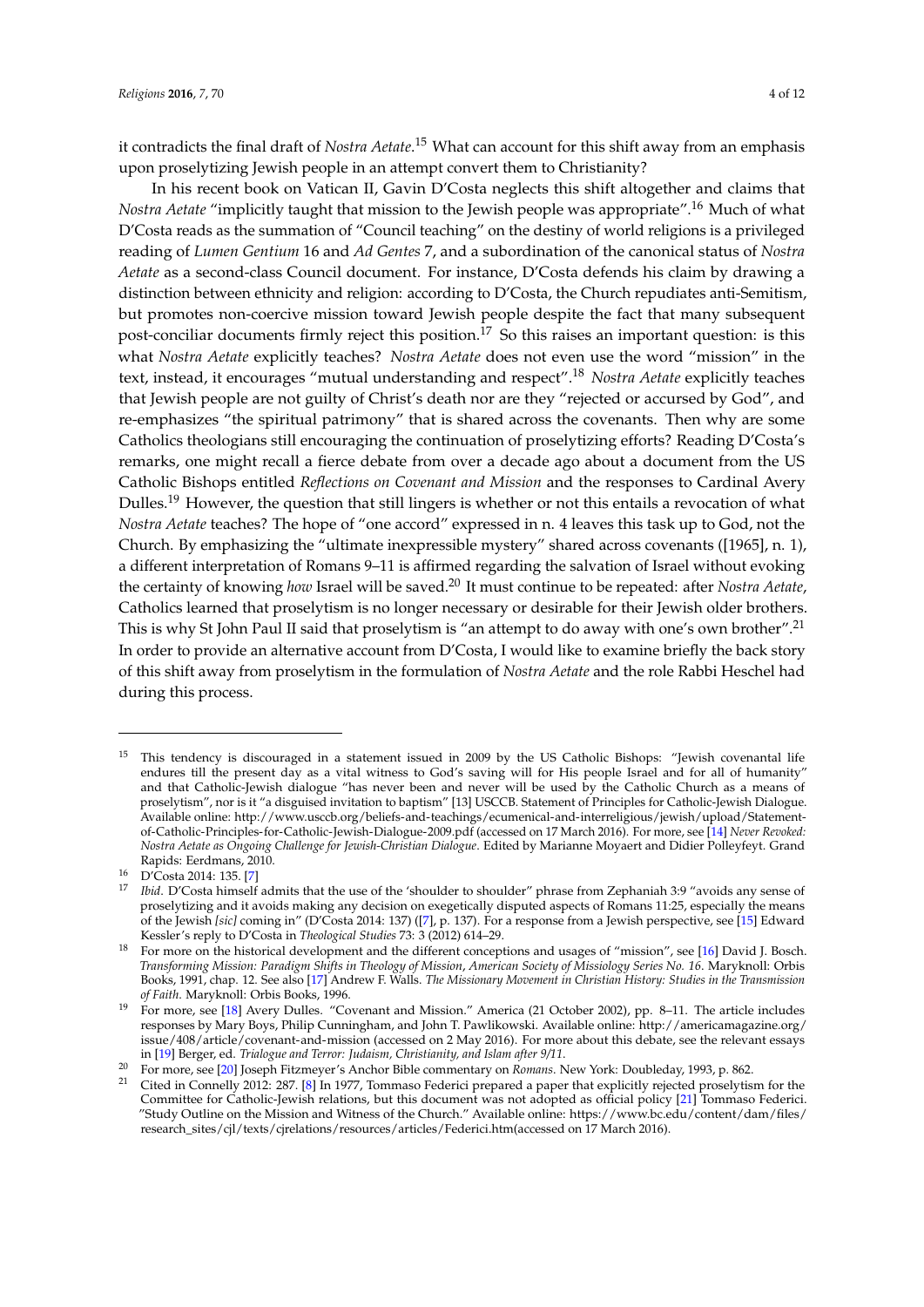it contradicts the final draft of *Nostra Aetate*. <sup>15</sup> What can account for this shift away from an emphasis upon proselytizing Jewish people in an attempt convert them to Christianity?

In his recent book on Vatican II, Gavin D'Costa neglects this shift altogether and claims that *Nostra Aetate* "implicitly taught that mission to the Jewish people was appropriate".<sup>16</sup> Much of what D'Costa reads as the summation of "Council teaching" on the destiny of world religions is a privileged reading of *Lumen Gentium* 16 and *Ad Gentes* 7, and a subordination of the canonical status of *Nostra Aetate* as a second-class Council document. For instance, D'Costa defends his claim by drawing a distinction between ethnicity and religion: according to D'Costa, the Church repudiates anti-Semitism, but promotes non-coercive mission toward Jewish people despite the fact that many subsequent post-conciliar documents firmly reject this position.<sup>17</sup> So this raises an important question: is this what *Nostra Aetate* explicitly teaches? *Nostra Aetate* does not even use the word "mission" in the text, instead, it encourages "mutual understanding and respect".<sup>18</sup> *Nostra Aetate* explicitly teaches that Jewish people are not guilty of Christ's death nor are they "rejected or accursed by God", and re-emphasizes "the spiritual patrimony" that is shared across the covenants. Then why are some Catholics theologians still encouraging the continuation of proselytizing efforts? Reading D'Costa's remarks, one might recall a fierce debate from over a decade ago about a document from the US Catholic Bishops entitled *Reflections on Covenant and Mission* and the responses to Cardinal Avery Dulles.<sup>19</sup> However, the question that still lingers is whether or not this entails a revocation of what *Nostra Aetate* teaches? The hope of "one accord" expressed in n. 4 leaves this task up to God, not the Church. By emphasizing the "ultimate inexpressible mystery" shared across covenants ([1965], n. 1), a different interpretation of Romans 9–11 is affirmed regarding the salvation of Israel without evoking the certainty of knowing *how* Israel will be saved.<sup>20</sup> It must continue to be repeated: after *Nostra Aetate*, Catholics learned that proselytism is no longer necessary or desirable for their Jewish older brothers. This is why St John Paul II said that proselytism is "an attempt to do away with one's own brother".<sup>21</sup> In order to provide an alternative account from D'Costa, I would like to examine briefly the back story of this shift away from proselytism in the formulation of *Nostra Aetate* and the role Rabbi Heschel had during this process.

<sup>&</sup>lt;sup>15</sup> This tendency is discouraged in a statement issued in 2009 by the US Catholic Bishops: "Jewish covenantal life endures till the present day as a vital witness to God's saving will for His people Israel and for all of humanity" and that Catholic-Jewish dialogue "has never been and never will be used by the Catholic Church as a means of proselytism", nor is it "a disguised invitation to baptism" [13] USCCB. Statement of Principles for Catholic-Jewish Dialogue. Available online: [http://www.usccb.org/beliefs-and-teachings/ecumenical-and-interreligious/jewish/upload/Statement](http://www.usccb.org/beliefs-and-teachings/ecumenical-and-interreligious/jewish/upload/Statement-of-Catholic-Principles-for-Catholic-Jewish-Dialogue-2009.pdf)[of-Catholic-Principles-for-Catholic-Jewish-Dialogue-2009.pdf](http://www.usccb.org/beliefs-and-teachings/ecumenical-and-interreligious/jewish/upload/Statement-of-Catholic-Principles-for-Catholic-Jewish-Dialogue-2009.pdf) (accessed on 17 March 2016). For more, see [\[14\]](#page-10-11) *Never Revoked: Nostra Aetate as Ongoing Challenge for Jewish-Christian Dialogue*. Edited by Marianne Moyaert and Didier Polleyfeyt. Grand Rapids: Eerdmans, 2010.

<sup>16</sup> D'Costa 2014: 135. [\[7\]](#page-10-7)

<sup>17</sup> *Ibid*. D'Costa himself admits that the use of the 'shoulder to shoulder" phrase from Zephaniah 3:9 "avoids any sense of proselytizing and it avoids making any decision on exegetically disputed aspects of Romans 11:25, especially the means of the Jewish *[sic]* coming in" (D'Costa 2014: 137) ([\[7\]](#page-10-7), p. 137). For a response from a Jewish perspective, see [\[15\]](#page-10-12) Edward Kessler's reply to D'Costa in *Theological Studies* 73: 3 (2012) 614–29.

<sup>18</sup> For more on the historical development and the different conceptions and usages of "mission", see [\[16\]](#page-10-13) David J. Bosch. *Transforming Mission: Paradigm Shifts in Theology of Mission*, *American Society of Missiology Series No. 16*. Maryknoll: Orbis Books, 1991, chap. 12. See also [\[17\]](#page-10-14) Andrew F. Walls. *The Missionary Movement in Christian History: Studies in the Transmission of Faith*. Maryknoll: Orbis Books, 1996.

<sup>19</sup> For more, see [\[18\]](#page-10-15) Avery Dulles. "Covenant and Mission." America (21 October 2002), pp. 8–11. The article includes responses by Mary Boys, Philip Cunningham, and John T. Pawlikowski. Available online: [http://americamagazine.org/](http://americamagazine.org/issue/408/article/covenant-and-mission) [issue/408/article/covenant-and-mission](http://americamagazine.org/issue/408/article/covenant-and-mission) (accessed on 2 May 2016). For more about this debate, see the relevant essays in [\[19\]](#page-10-16) Berger, ed. *Trialogue and Terror: Judaism, Christianity, and Islam after 9/11*.

<sup>20</sup> For more, see [\[20\]](#page-10-17) Joseph Fitzmeyer's Anchor Bible commentary on *Romans*. New York: Doubleday, 1993, p. 862.

<sup>21</sup> Cited in Connelly 2012: 287. [\[8\]](#page-10-8) In 1977, Tommaso Federici prepared a paper that explicitly rejected proselytism for the Committee for Catholic-Jewish relations, but this document was not adopted as official policy [\[21\]](#page-10-18) Tommaso Federici. "Study Outline on the Mission and Witness of the Church." Available online: [https://www.bc.edu/content/dam/files/](https://www.bc.edu/content/dam/files/research_sites/cjl/texts/cjrelations/resources/articles/Federici.htm ) [research\\_sites/cjl/texts/cjrelations/resources/articles/Federici.htm\(](https://www.bc.edu/content/dam/files/research_sites/cjl/texts/cjrelations/resources/articles/Federici.htm )accessed on 17 March 2016).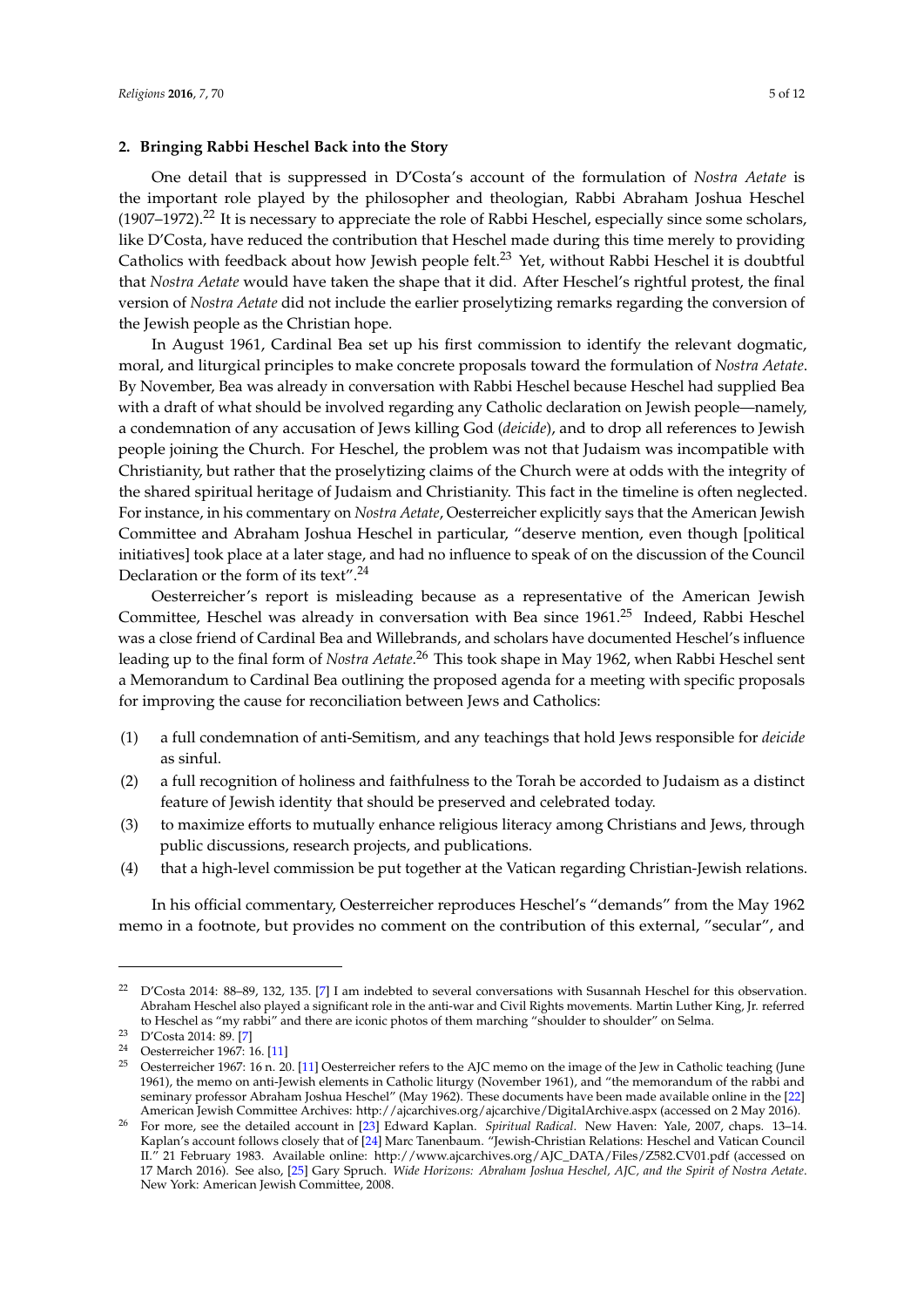#### **2. Bringing Rabbi Heschel Back into the Story**

One detail that is suppressed in D'Costa's account of the formulation of *Nostra Aetate* is the important role played by the philosopher and theologian, Rabbi Abraham Joshua Heschel  $(1907–1972).<sup>22</sup>$  It is necessary to appreciate the role of Rabbi Heschel, especially since some scholars, like D'Costa, have reduced the contribution that Heschel made during this time merely to providing Catholics with feedback about how Jewish people felt.<sup>23</sup> Yet, without Rabbi Heschel it is doubtful that *Nostra Aetate* would have taken the shape that it did. After Heschel's rightful protest, the final version of *Nostra Aetate* did not include the earlier proselytizing remarks regarding the conversion of the Jewish people as the Christian hope.

In August 1961, Cardinal Bea set up his first commission to identify the relevant dogmatic, moral, and liturgical principles to make concrete proposals toward the formulation of *Nostra Aetate*. By November, Bea was already in conversation with Rabbi Heschel because Heschel had supplied Bea with a draft of what should be involved regarding any Catholic declaration on Jewish people—namely, a condemnation of any accusation of Jews killing God (*deicide*), and to drop all references to Jewish people joining the Church. For Heschel, the problem was not that Judaism was incompatible with Christianity, but rather that the proselytizing claims of the Church were at odds with the integrity of the shared spiritual heritage of Judaism and Christianity. This fact in the timeline is often neglected. For instance, in his commentary on *Nostra Aetate*, Oesterreicher explicitly says that the American Jewish Committee and Abraham Joshua Heschel in particular, "deserve mention, even though [political initiatives] took place at a later stage, and had no influence to speak of on the discussion of the Council Declaration or the form of its text".<sup>24</sup>

Oesterreicher's report is misleading because as a representative of the American Jewish Committee, Heschel was already in conversation with Bea since 1961.<sup>25</sup> Indeed, Rabbi Heschel was a close friend of Cardinal Bea and Willebrands, and scholars have documented Heschel's influence leading up to the final form of *Nostra Aetate*. <sup>26</sup> This took shape in May 1962, when Rabbi Heschel sent a Memorandum to Cardinal Bea outlining the proposed agenda for a meeting with specific proposals for improving the cause for reconciliation between Jews and Catholics:

- (1) a full condemnation of anti-Semitism, and any teachings that hold Jews responsible for *deicide* as sinful.
- (2) a full recognition of holiness and faithfulness to the Torah be accorded to Judaism as a distinct feature of Jewish identity that should be preserved and celebrated today.
- (3) to maximize efforts to mutually enhance religious literacy among Christians and Jews, through public discussions, research projects, and publications.
- (4) that a high-level commission be put together at the Vatican regarding Christian-Jewish relations.

In his official commentary, Oesterreicher reproduces Heschel's "demands" from the May 1962 memo in a footnote, but provides no comment on the contribution of this external, "secular", and

<sup>22</sup> D'Costa 2014: 88–89, 132, 135. [\[7\]](#page-10-7) I am indebted to several conversations with Susannah Heschel for this observation. Abraham Heschel also played a significant role in the anti-war and Civil Rights movements. Martin Luther King, Jr. referred to Heschel as "my rabbi" and there are iconic photos of them marching "shoulder to shoulder" on Selma.

<sup>23</sup> D'Costa 2014: 89. [\[7\]](#page-10-7)

<sup>24</sup> Oesterreicher 1967: 16. [\[11\]](#page-10-9)

<sup>&</sup>lt;sup>25</sup> Oesterreicher 1967: 16 n. 20. [\[11\]](#page-10-9) Oesterreicher refers to the AJC memo on the image of the Jew in Catholic teaching (June 1961), the memo on anti-Jewish elements in Catholic liturgy (November 1961), and "the memorandum of the rabbi and seminary professor Abraham Joshua Heschel" (May 1962). These documents have been made available online in the [\[22\]](#page-10-19) American Jewish Committee Archives: <http://ajcarchives.org/ajcarchive/DigitalArchive.aspx> (accessed on 2 May 2016).

<sup>26</sup> For more, see the detailed account in [\[23\]](#page-10-20) Edward Kaplan. *Spiritual Radical*. New Haven: Yale, 2007, chaps. 13–14. Kaplan's account follows closely that of [\[24\]](#page-10-21) Marc Tanenbaum. "Jewish-Christian Relations: Heschel and Vatican Council II." 21 February 1983. Available online: [http://www.ajcarchives.org/AJC\\_DATA/Files/Z582.CV01.pdf](http://www.ajcarchives.org/AJC_DATA/Files/Z582.CV01.pdf) (accessed on 17 March 2016). See also, [\[25\]](#page-10-22) Gary Spruch. *Wide Horizons: Abraham Joshua Heschel, AJC, and the Spirit of Nostra Aetate*. New York: American Jewish Committee, 2008.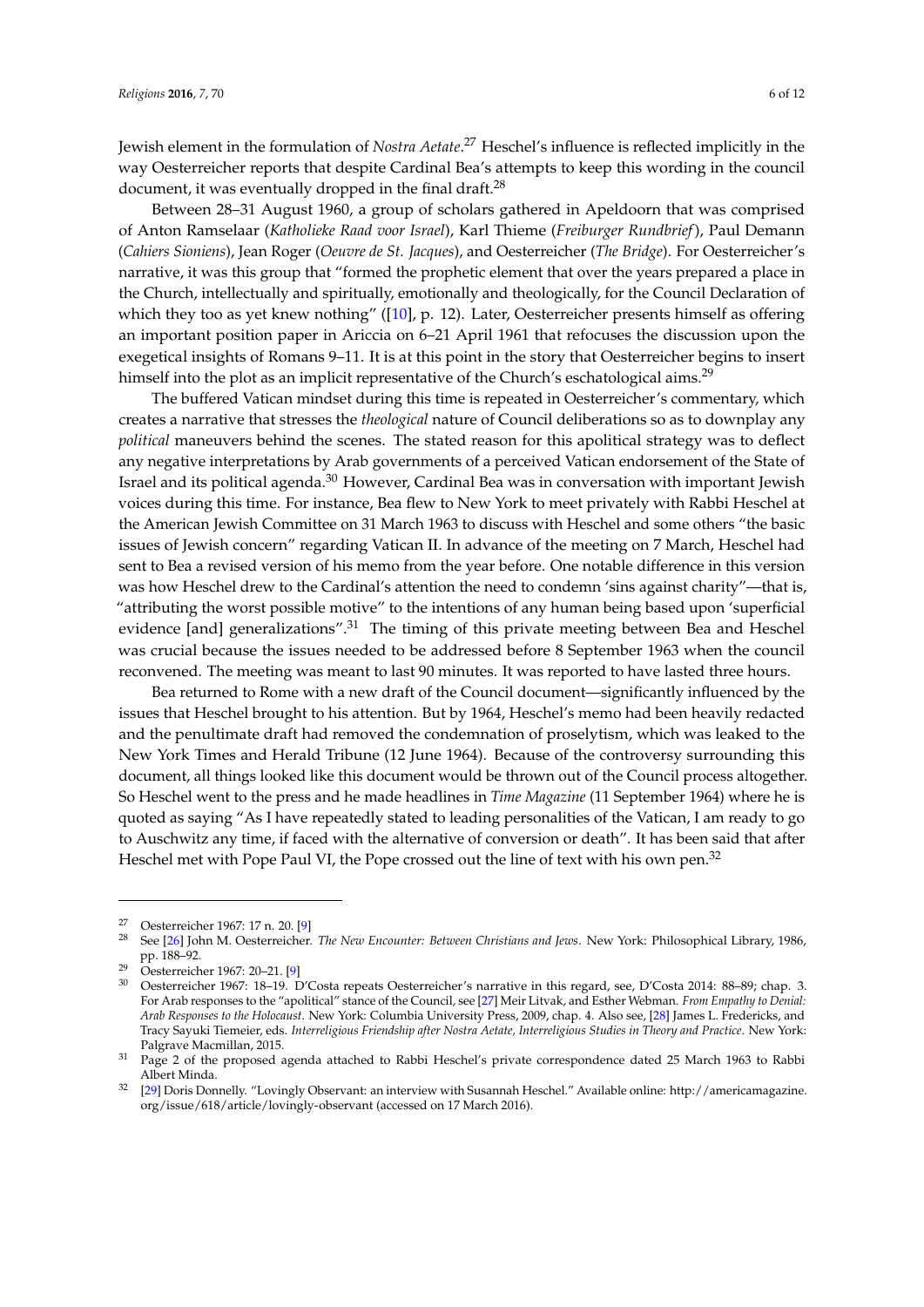Jewish element in the formulation of *Nostra Aetate*. <sup>27</sup> Heschel's influence is reflected implicitly in the way Oesterreicher reports that despite Cardinal Bea's attempts to keep this wording in the council document, it was eventually dropped in the final draft. $^{28}$ 

Between 28–31 August 1960, a group of scholars gathered in Apeldoorn that was comprised of Anton Ramselaar (*Katholieke Raad voor Israel*), Karl Thieme (*Freiburger Rundbrief*), Paul Demann (*Cahiers Sioniens*), Jean Roger (*Oeuvre de St. Jacques*), and Oesterreicher (*The Bridge*). For Oesterreicher's narrative, it was this group that "formed the prophetic element that over the years prepared a place in the Church, intellectually and spiritually, emotionally and theologically, for the Council Declaration of which they too as yet knew nothing" ([\[10\]](#page-10-3), p. 12). Later, Oesterreicher presents himself as offering an important position paper in Ariccia on 6–21 April 1961 that refocuses the discussion upon the exegetical insights of Romans 9–11. It is at this point in the story that Oesterreicher begins to insert himself into the plot as an implicit representative of the Church's eschatological aims.<sup>29</sup>

The buffered Vatican mindset during this time is repeated in Oesterreicher's commentary, which creates a narrative that stresses the *theological* nature of Council deliberations so as to downplay any *political* maneuvers behind the scenes. The stated reason for this apolitical strategy was to deflect any negative interpretations by Arab governments of a perceived Vatican endorsement of the State of Israel and its political agenda.<sup>30</sup> However, Cardinal Bea was in conversation with important Jewish voices during this time. For instance, Bea flew to New York to meet privately with Rabbi Heschel at the American Jewish Committee on 31 March 1963 to discuss with Heschel and some others "the basic issues of Jewish concern" regarding Vatican II. In advance of the meeting on 7 March, Heschel had sent to Bea a revised version of his memo from the year before. One notable difference in this version was how Heschel drew to the Cardinal's attention the need to condemn 'sins against charity"—that is, "attributing the worst possible motive" to the intentions of any human being based upon 'superficial evidence [and] generalizations".<sup>31</sup> The timing of this private meeting between Bea and Heschel was crucial because the issues needed to be addressed before 8 September 1963 when the council reconvened. The meeting was meant to last 90 minutes. It was reported to have lasted three hours.

Bea returned to Rome with a new draft of the Council document—significantly influenced by the issues that Heschel brought to his attention. But by 1964, Heschel's memo had been heavily redacted and the penultimate draft had removed the condemnation of proselytism, which was leaked to the New York Times and Herald Tribune (12 June 1964). Because of the controversy surrounding this document, all things looked like this document would be thrown out of the Council process altogether. So Heschel went to the press and he made headlines in *Time Magazine* (11 September 1964) where he is quoted as saying "As I have repeatedly stated to leading personalities of the Vatican, I am ready to go to Auschwitz any time, if faced with the alternative of conversion or death". It has been said that after Heschel met with Pope Paul VI, the Pope crossed out the line of text with his own pen.<sup>32</sup>

<sup>&</sup>lt;sup>27</sup> Oesterreicher 1967: 17 n. 20. [\[9\]](#page-10-2)<br><sup>28</sup> See [26] John M. Oesterreicher

<sup>28</sup> See [\[26\]](#page-10-23) John M. Oesterreicher. *The New Encounter: Between Christians and Jews*. New York: Philosophical Library, 1986, pp. 188–92.

<sup>29</sup> Oesterreicher 1967: 20–21. [\[9\]](#page-10-2)

<sup>30</sup> Oesterreicher 1967: 18–19. D'Costa repeats Oesterreicher's narrative in this regard, see, D'Costa 2014: 88–89; chap. 3. For Arab responses to the "apolitical" stance of the Council, see [\[27\]](#page-10-24) Meir Litvak, and Esther Webman. *From Empathy to Denial: Arab Responses to the Holocaust*. New York: Columbia University Press, 2009, chap. 4. Also see, [\[28\]](#page-11-0) James L. Fredericks, and Tracy Sayuki Tiemeier, eds. *Interreligious Friendship after Nostra Aetate, Interreligious Studies in Theory and Practice*. New York: Palgrave Macmillan, 2015.

<sup>&</sup>lt;sup>31</sup> Page 2 of the proposed agenda attached to Rabbi Heschel's private correspondence dated 25 March 1963 to Rabbi Albert Minda.

<sup>32</sup> [\[29\]](#page-11-1) Doris Donnelly. "Lovingly Observant: an interview with Susannah Heschel." Available online: [http://americamagazine.](http://americamagazine.org/issue/618/article/lovingly-observant) [org/issue/618/article/lovingly-observant](http://americamagazine.org/issue/618/article/lovingly-observant) (accessed on 17 March 2016).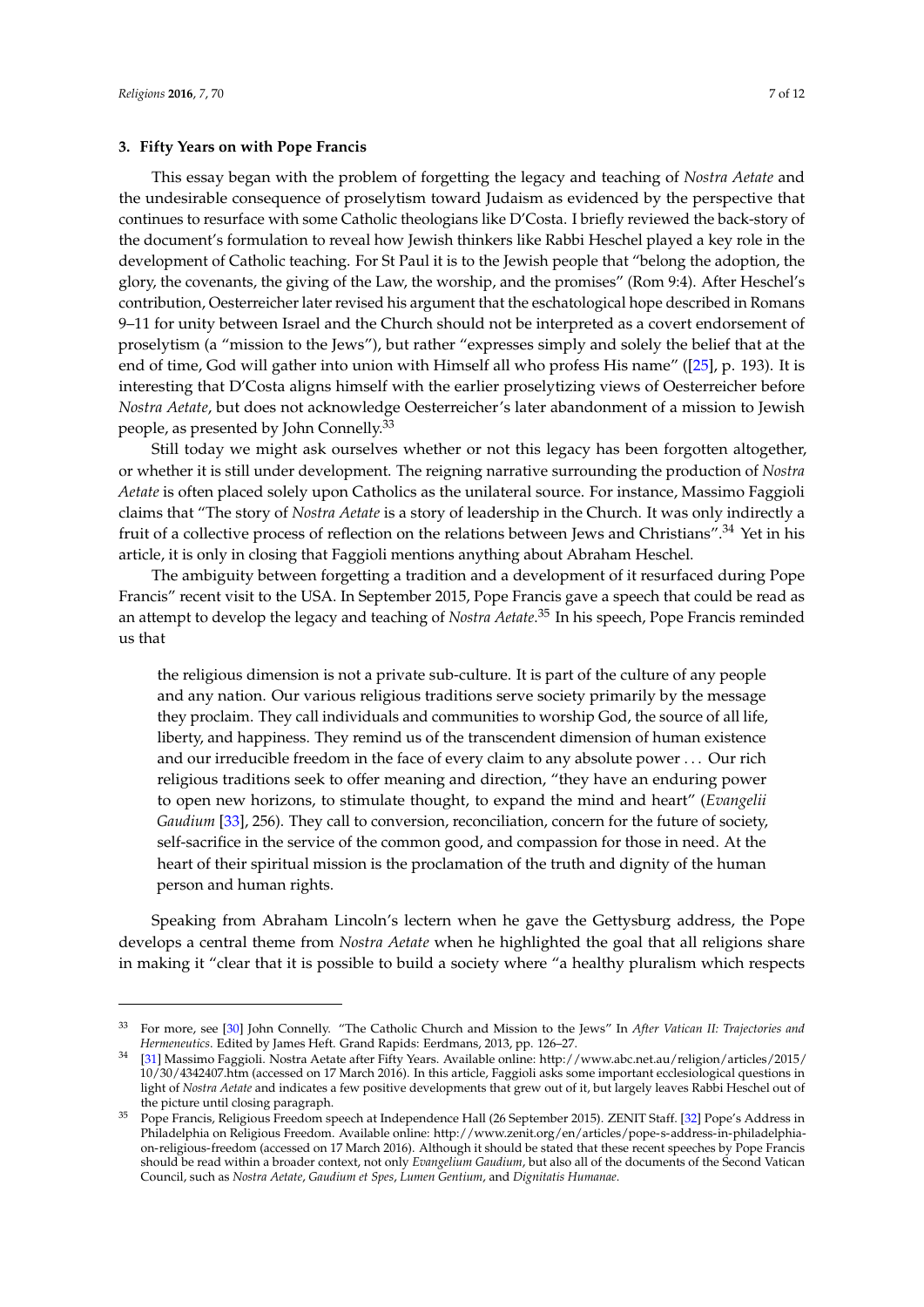#### **3. Fifty Years on with Pope Francis**

This essay began with the problem of forgetting the legacy and teaching of *Nostra Aetate* and the undesirable consequence of proselytism toward Judaism as evidenced by the perspective that continues to resurface with some Catholic theologians like D'Costa. I briefly reviewed the back-story of the document's formulation to reveal how Jewish thinkers like Rabbi Heschel played a key role in the development of Catholic teaching. For St Paul it is to the Jewish people that "belong the adoption, the glory, the covenants, the giving of the Law, the worship, and the promises" (Rom 9:4). After Heschel's contribution, Oesterreicher later revised his argument that the eschatological hope described in Romans 9–11 for unity between Israel and the Church should not be interpreted as a covert endorsement of proselytism (a "mission to the Jews"), but rather "expresses simply and solely the belief that at the end of time, God will gather into union with Himself all who profess His name" ([\[25\]](#page-10-22), p. 193). It is interesting that D'Costa aligns himself with the earlier proselytizing views of Oesterreicher before *Nostra Aetate*, but does not acknowledge Oesterreicher's later abandonment of a mission to Jewish people, as presented by John Connelly.<sup>33</sup>

Still today we might ask ourselves whether or not this legacy has been forgotten altogether, or whether it is still under development. The reigning narrative surrounding the production of *Nostra Aetate* is often placed solely upon Catholics as the unilateral source. For instance, Massimo Faggioli claims that "The story of *Nostra Aetate* is a story of leadership in the Church. It was only indirectly a fruit of a collective process of reflection on the relations between Jews and Christians".<sup>34</sup> Yet in his article, it is only in closing that Faggioli mentions anything about Abraham Heschel.

The ambiguity between forgetting a tradition and a development of it resurfaced during Pope Francis" recent visit to the USA. In September 2015, Pope Francis gave a speech that could be read as an attempt to develop the legacy and teaching of *Nostra Aetate*. <sup>35</sup> In his speech, Pope Francis reminded us that

the religious dimension is not a private sub-culture. It is part of the culture of any people and any nation. Our various religious traditions serve society primarily by the message they proclaim. They call individuals and communities to worship God, the source of all life, liberty, and happiness. They remind us of the transcendent dimension of human existence and our irreducible freedom in the face of every claim to any absolute power . . . Our rich religious traditions seek to offer meaning and direction, "they have an enduring power to open new horizons, to stimulate thought, to expand the mind and heart" (*Evangelii Gaudium* [\[33\]](#page-11-2), 256). They call to conversion, reconciliation, concern for the future of society, self-sacrifice in the service of the common good, and compassion for those in need. At the heart of their spiritual mission is the proclamation of the truth and dignity of the human person and human rights.

Speaking from Abraham Lincoln's lectern when he gave the Gettysburg address, the Pope develops a central theme from *Nostra Aetate* when he highlighted the goal that all religions share in making it "clear that it is possible to build a society where "a healthy pluralism which respects

<sup>33</sup> For more, see [\[30\]](#page-11-3) John Connelly. "The Catholic Church and Mission to the Jews" In *After Vatican II: Trajectories and Hermeneutics*. Edited by James Heft. Grand Rapids: Eerdmans, 2013, pp. 126–27.

<sup>34</sup> [\[31\]](#page-11-4) Massimo Faggioli. Nostra Aetate after Fifty Years. Available online: [http://www.abc.net.au/religion/articles/2015/](http://www.abc.net.au/religion/articles/2015/10/30/4342407.htm) [10/30/4342407.htm](http://www.abc.net.au/religion/articles/2015/10/30/4342407.htm) (accessed on 17 March 2016). In this article, Faggioli asks some important ecclesiological questions in light of *Nostra Aetate* and indicates a few positive developments that grew out of it, but largely leaves Rabbi Heschel out of the picture until closing paragraph.

<sup>35</sup> Pope Francis, Religious Freedom speech at Independence Hall (26 September 2015). ZENIT Staff. [\[32\]](#page-11-5) Pope's Address in Philadelphia on Religious Freedom. Available online: [http://www.zenit.org/en/articles/pope-s-address-in-philadelphia](http://www.zenit.org/en/articles/pope-s-address-in-philadelphia-on-religious-freedom)[on-religious-freedom](http://www.zenit.org/en/articles/pope-s-address-in-philadelphia-on-religious-freedom) (accessed on 17 March 2016). Although it should be stated that these recent speeches by Pope Francis should be read within a broader context, not only *Evangelium Gaudium*, but also all of the documents of the Second Vatican Council, such as *Nostra Aetate*, *Gaudium et Spes*, *Lumen Gentium*, and *Dignitatis Humanae*.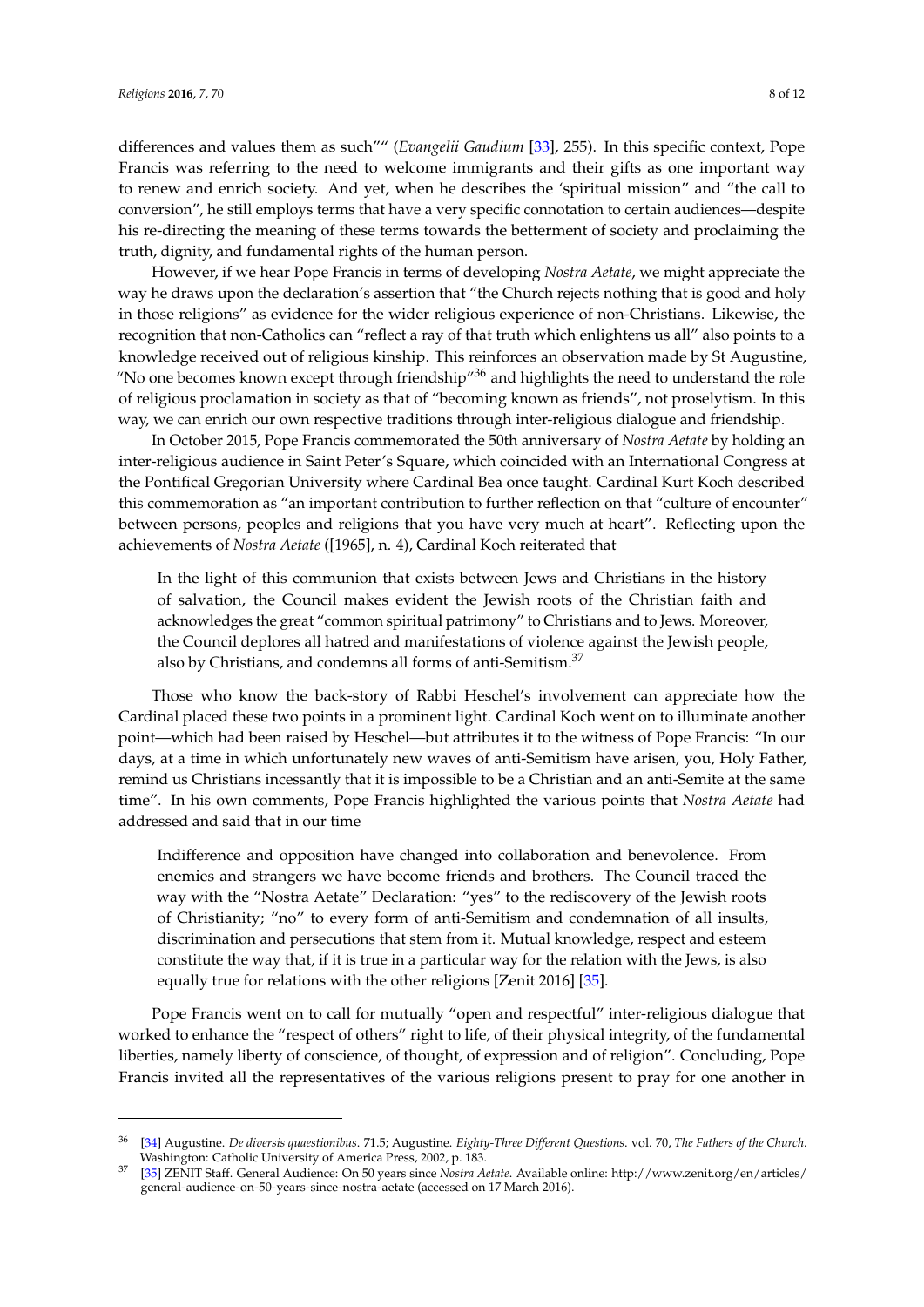differences and values them as such"" (*Evangelii Gaudium* [\[33\]](#page-11-2), 255). In this specific context, Pope Francis was referring to the need to welcome immigrants and their gifts as one important way to renew and enrich society. And yet, when he describes the 'spiritual mission" and "the call to conversion", he still employs terms that have a very specific connotation to certain audiences—despite his re-directing the meaning of these terms towards the betterment of society and proclaiming the truth, dignity, and fundamental rights of the human person.

However, if we hear Pope Francis in terms of developing *Nostra Aetate*, we might appreciate the way he draws upon the declaration's assertion that "the Church rejects nothing that is good and holy in those religions" as evidence for the wider religious experience of non-Christians. Likewise, the recognition that non-Catholics can "reflect a ray of that truth which enlightens us all" also points to a knowledge received out of religious kinship. This reinforces an observation made by St Augustine, "No one becomes known except through friendship" $36$  and highlights the need to understand the role of religious proclamation in society as that of "becoming known as friends", not proselytism. In this way, we can enrich our own respective traditions through inter-religious dialogue and friendship.

In October 2015, Pope Francis commemorated the 50th anniversary of *Nostra Aetate* by holding an inter-religious audience in Saint Peter's Square, which coincided with an International Congress at the Pontifical Gregorian University where Cardinal Bea once taught. Cardinal Kurt Koch described this commemoration as "an important contribution to further reflection on that "culture of encounter" between persons, peoples and religions that you have very much at heart". Reflecting upon the achievements of *Nostra Aetate* ([1965], n. 4), Cardinal Koch reiterated that

In the light of this communion that exists between Jews and Christians in the history of salvation, the Council makes evident the Jewish roots of the Christian faith and acknowledges the great "common spiritual patrimony" to Christians and to Jews. Moreover, the Council deplores all hatred and manifestations of violence against the Jewish people, also by Christians, and condemns all forms of anti-Semitism.<sup>37</sup>

Those who know the back-story of Rabbi Heschel's involvement can appreciate how the Cardinal placed these two points in a prominent light. Cardinal Koch went on to illuminate another point—which had been raised by Heschel—but attributes it to the witness of Pope Francis: "In our days, at a time in which unfortunately new waves of anti-Semitism have arisen, you, Holy Father, remind us Christians incessantly that it is impossible to be a Christian and an anti-Semite at the same time". In his own comments, Pope Francis highlighted the various points that *Nostra Aetate* had addressed and said that in our time

Indifference and opposition have changed into collaboration and benevolence. From enemies and strangers we have become friends and brothers. The Council traced the way with the "Nostra Aetate" Declaration: "yes" to the rediscovery of the Jewish roots of Christianity; "no" to every form of anti-Semitism and condemnation of all insults, discrimination and persecutions that stem from it. Mutual knowledge, respect and esteem constitute the way that, if it is true in a particular way for the relation with the Jews, is also equally true for relations with the other religions [Zenit 2016] [\[35\]](#page-11-6).

Pope Francis went on to call for mutually "open and respectful" inter-religious dialogue that worked to enhance the "respect of others" right to life, of their physical integrity, of the fundamental liberties, namely liberty of conscience, of thought, of expression and of religion". Concluding, Pope Francis invited all the representatives of the various religions present to pray for one another in

<sup>36</sup> [\[34\]](#page-11-7) Augustine. *De diversis quaestionibus*. 71.5; Augustine. *Eighty-Three Different Questions*. vol. 70, *The Fathers of the Church*. Washington: Catholic University of America Press, 2002, p. 183.

<sup>37</sup> [\[35\]](#page-11-6) ZENIT Staff. General Audience: On 50 years since *Nostra Aetate*. Available online: [http://www.zenit.org/en/articles/](http://www.zenit.org/en/articles/general-audience-on-50-years-since-nostra-aetate) [general-audience-on-50-years-since-nostra-aetate](http://www.zenit.org/en/articles/general-audience-on-50-years-since-nostra-aetate) (accessed on 17 March 2016).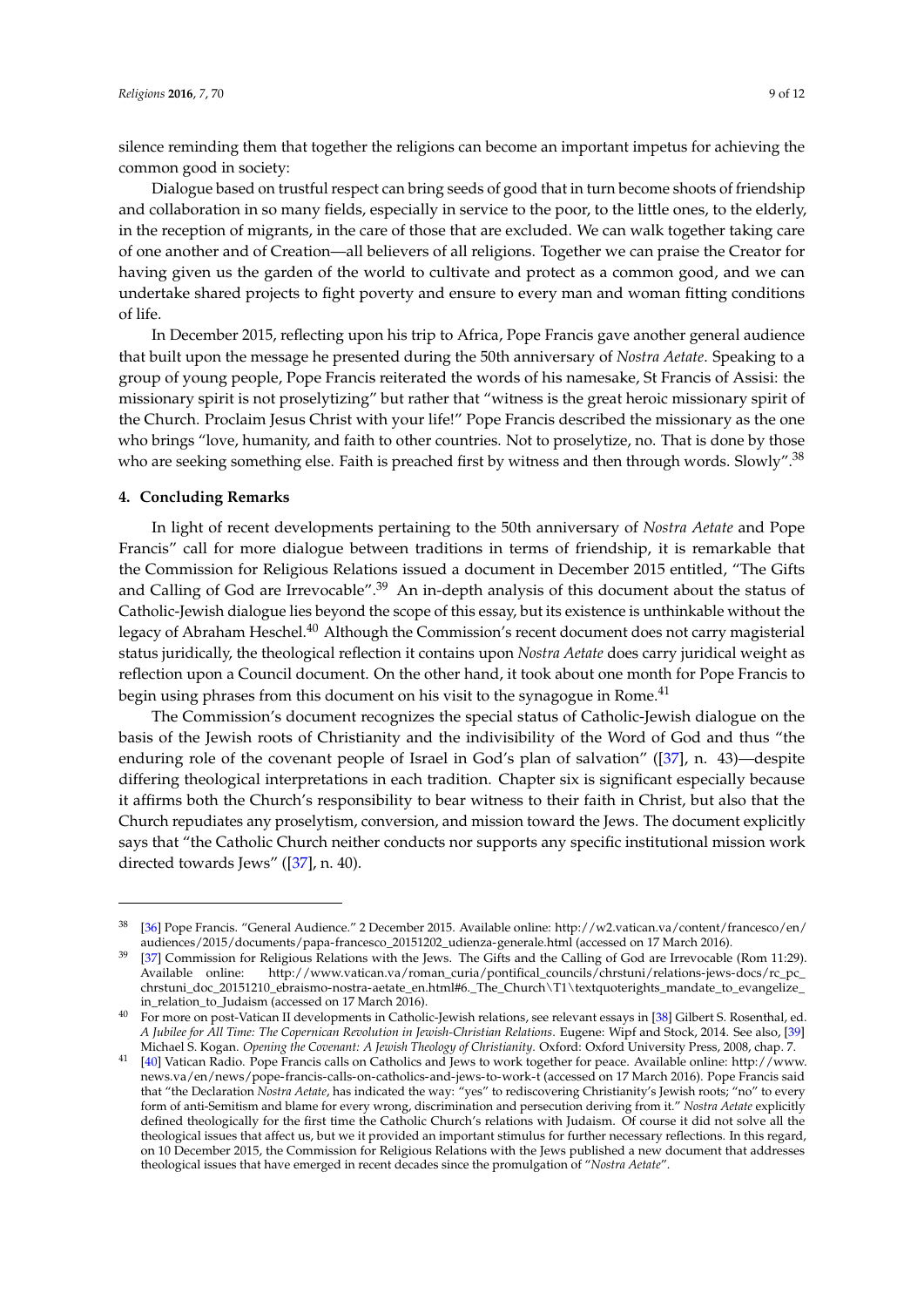silence reminding them that together the religions can become an important impetus for achieving the common good in society:

Dialogue based on trustful respect can bring seeds of good that in turn become shoots of friendship and collaboration in so many fields, especially in service to the poor, to the little ones, to the elderly, in the reception of migrants, in the care of those that are excluded. We can walk together taking care of one another and of Creation—all believers of all religions. Together we can praise the Creator for having given us the garden of the world to cultivate and protect as a common good, and we can undertake shared projects to fight poverty and ensure to every man and woman fitting conditions of life.

In December 2015, reflecting upon his trip to Africa, Pope Francis gave another general audience that built upon the message he presented during the 50th anniversary of *Nostra Aetate*. Speaking to a group of young people, Pope Francis reiterated the words of his namesake, St Francis of Assisi: the missionary spirit is not proselytizing" but rather that "witness is the great heroic missionary spirit of the Church. Proclaim Jesus Christ with your life!" Pope Francis described the missionary as the one who brings "love, humanity, and faith to other countries. Not to proselytize, no. That is done by those who are seeking something else. Faith is preached first by witness and then through words. Slowly".<sup>38</sup>

#### **4. Concluding Remarks**

In light of recent developments pertaining to the 50th anniversary of *Nostra Aetate* and Pope Francis" call for more dialogue between traditions in terms of friendship, it is remarkable that the Commission for Religious Relations issued a document in December 2015 entitled, "The Gifts and Calling of God are Irrevocable".<sup>39</sup> An in-depth analysis of this document about the status of Catholic-Jewish dialogue lies beyond the scope of this essay, but its existence is unthinkable without the legacy of Abraham Heschel.<sup>40</sup> Although the Commission's recent document does not carry magisterial status juridically, the theological reflection it contains upon *Nostra Aetate* does carry juridical weight as reflection upon a Council document. On the other hand, it took about one month for Pope Francis to begin using phrases from this document on his visit to the synagogue in Rome.<sup>41</sup>

The Commission's document recognizes the special status of Catholic-Jewish dialogue on the basis of the Jewish roots of Christianity and the indivisibility of the Word of God and thus "the enduring role of the covenant people of Israel in God's plan of salvation" ([\[37\]](#page-11-8), n. 43)—despite differing theological interpretations in each tradition. Chapter six is significant especially because it affirms both the Church's responsibility to bear witness to their faith in Christ, but also that the Church repudiates any proselytism, conversion, and mission toward the Jews. The document explicitly says that "the Catholic Church neither conducts nor supports any specific institutional mission work directed towards Jews" ([\[37\]](#page-11-8), n. 40).

<sup>38</sup> [\[36\]](#page-11-9) Pope Francis. "General Audience." 2 December 2015. Available online: [http://w2.vatican.va/content/francesco/en/](http://w2.vatican.va/content/francesco/en/audiences/2015/documents/papa-francesco_20151202_udienza-generale.html) [audiences/2015/documents/papa-francesco\\_20151202\\_udienza-generale.html](http://w2.vatican.va/content/francesco/en/audiences/2015/documents/papa-francesco_20151202_udienza-generale.html) (accessed on 17 March 2016).

<sup>39</sup> [\[37\]](#page-11-8) Commission for Religious Relations with the Jews. The Gifts and the Calling of God are Irrevocable (Rom 11:29). Available online: [http://www.vatican.va/roman\\_curia/pontifical\\_councils/chrstuni/relations-jews-docs/rc\\_pc\\_](http://www.vatican.va/roman_curia/pontifical_councils/chrstuni/relations-jews-docs/rc_pc_chrstuni_doc_20151210_ebraismo-nostra-aetate_en.html#6._The_Church\T1\textquoteright s_mandate_to_evangelize_in_relation_to_Judaism) [chrstuni\\_doc\\_20151210\\_ebraismo-nostra-aetate\\_en.html#6.\\_The\\_Church\T1\textquoterights\\_mandate\\_to\\_evangelize\\_](http://www.vatican.va/roman_curia/pontifical_councils/chrstuni/relations-jews-docs/rc_pc_chrstuni_doc_20151210_ebraismo-nostra-aetate_en.html#6._The_Church\T1\textquoteright s_mandate_to_evangelize_in_relation_to_Judaism) [in\\_relation\\_to\\_Judaism](http://www.vatican.va/roman_curia/pontifical_councils/chrstuni/relations-jews-docs/rc_pc_chrstuni_doc_20151210_ebraismo-nostra-aetate_en.html#6._The_Church\T1\textquoteright s_mandate_to_evangelize_in_relation_to_Judaism) (accessed on 17 March 2016).

<sup>&</sup>lt;sup>40</sup> For more on post-Vatican II developments in Catholic-Jewish relations, see relevant essays in [\[38\]](#page-11-10) Gilbert S. Rosenthal, ed. *A Jubilee for All Time: The Copernican Revolution in Jewish-Christian Relations*. Eugene: Wipf and Stock, 2014. See also, [\[39\]](#page-11-11) Michael S. Kogan. *Opening the Covenant: A Jewish Theology of Christianity*. Oxford: Oxford University Press, 2008, chap. 7.

<sup>41</sup> [\[40\]](#page-11-12) Vatican Radio. Pope Francis calls on Catholics and Jews to work together for peace. Available online: [http://www.](http://www.news.va/en/news/pope-francis-calls-on-catholics-and-jews-to-work-t) [news.va/en/news/pope-francis-calls-on-catholics-and-jews-to-work-t](http://www.news.va/en/news/pope-francis-calls-on-catholics-and-jews-to-work-t) (accessed on 17 March 2016). Pope Francis said that "the Declaration *Nostra Aetate*, has indicated the way: "yes" to rediscovering Christianity's Jewish roots; "no" to every form of anti-Semitism and blame for every wrong, discrimination and persecution deriving from it." *Nostra Aetate* explicitly defined theologically for the first time the Catholic Church's relations with Judaism. Of course it did not solve all the theological issues that affect us, but we it provided an important stimulus for further necessary reflections. In this regard, on 10 December 2015, the Commission for Religious Relations with the Jews published a new document that addresses theological issues that have emerged in recent decades since the promulgation of "*Nostra Aetate*".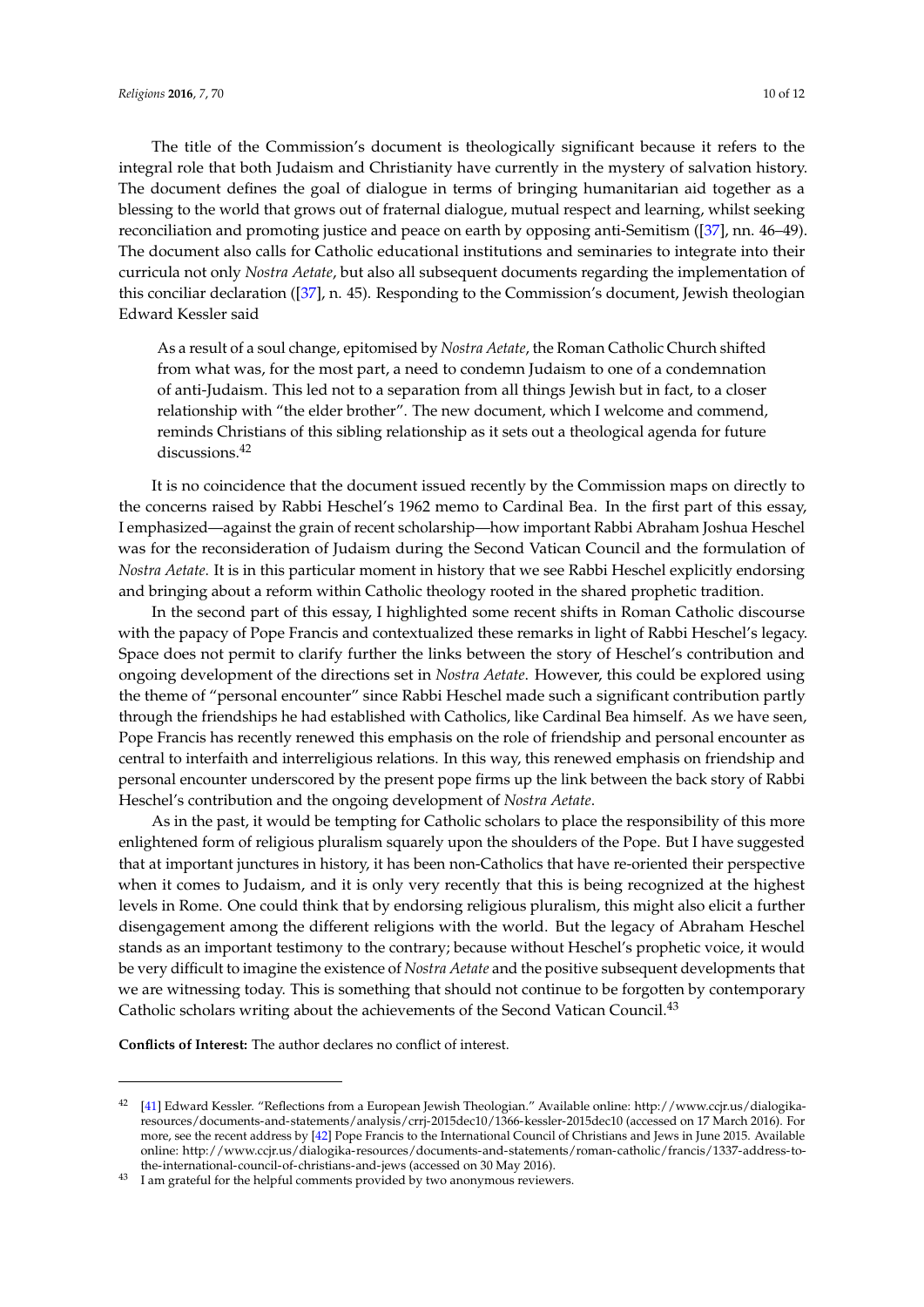The title of the Commission's document is theologically significant because it refers to the integral role that both Judaism and Christianity have currently in the mystery of salvation history. The document defines the goal of dialogue in terms of bringing humanitarian aid together as a blessing to the world that grows out of fraternal dialogue, mutual respect and learning, whilst seeking reconciliation and promoting justice and peace on earth by opposing anti-Semitism ([\[37\]](#page-11-8), nn. 46–49). The document also calls for Catholic educational institutions and seminaries to integrate into their curricula not only *Nostra Aetate*, but also all subsequent documents regarding the implementation of this conciliar declaration ([\[37\]](#page-11-8), n. 45). Responding to the Commission's document, Jewish theologian Edward Kessler said

As a result of a soul change, epitomised by *Nostra Aetate*, the Roman Catholic Church shifted from what was, for the most part, a need to condemn Judaism to one of a condemnation of anti-Judaism. This led not to a separation from all things Jewish but in fact, to a closer relationship with "the elder brother". The new document, which I welcome and commend, reminds Christians of this sibling relationship as it sets out a theological agenda for future discussions.<sup>42</sup>

It is no coincidence that the document issued recently by the Commission maps on directly to the concerns raised by Rabbi Heschel's 1962 memo to Cardinal Bea. In the first part of this essay, I emphasized—against the grain of recent scholarship—how important Rabbi Abraham Joshua Heschel was for the reconsideration of Judaism during the Second Vatican Council and the formulation of *Nostra Aetate*. It is in this particular moment in history that we see Rabbi Heschel explicitly endorsing and bringing about a reform within Catholic theology rooted in the shared prophetic tradition.

In the second part of this essay, I highlighted some recent shifts in Roman Catholic discourse with the papacy of Pope Francis and contextualized these remarks in light of Rabbi Heschel's legacy. Space does not permit to clarify further the links between the story of Heschel's contribution and ongoing development of the directions set in *Nostra Aetate*. However, this could be explored using the theme of "personal encounter" since Rabbi Heschel made such a significant contribution partly through the friendships he had established with Catholics, like Cardinal Bea himself. As we have seen, Pope Francis has recently renewed this emphasis on the role of friendship and personal encounter as central to interfaith and interreligious relations. In this way, this renewed emphasis on friendship and personal encounter underscored by the present pope firms up the link between the back story of Rabbi Heschel's contribution and the ongoing development of *Nostra Aetate*.

As in the past, it would be tempting for Catholic scholars to place the responsibility of this more enlightened form of religious pluralism squarely upon the shoulders of the Pope. But I have suggested that at important junctures in history, it has been non-Catholics that have re-oriented their perspective when it comes to Judaism, and it is only very recently that this is being recognized at the highest levels in Rome. One could think that by endorsing religious pluralism, this might also elicit a further disengagement among the different religions with the world. But the legacy of Abraham Heschel stands as an important testimony to the contrary; because without Heschel's prophetic voice, it would be very difficult to imagine the existence of *Nostra Aetate* and the positive subsequent developments that we are witnessing today. This is something that should not continue to be forgotten by contemporary Catholic scholars writing about the achievements of the Second Vatican Council.<sup>43</sup>

**Conflicts of Interest:** The author declares no conflict of interest.

<sup>42</sup> [\[41\]](#page-11-13) Edward Kessler. "Reflections from a European Jewish Theologian." Available online: [http://www.ccjr.us/dialogika](http://www.ccjr.us/dialogika-resources/documents-and-statements/analysis/crrj-2015dec10/1366-kessler-2015dec10)[resources/documents-and-statements/analysis/crrj-2015dec10/1366-kessler-2015dec10](http://www.ccjr.us/dialogika-resources/documents-and-statements/analysis/crrj-2015dec10/1366-kessler-2015dec10) (accessed on 17 March 2016). For more, see the recent address by [\[42\]](#page-11-14) Pope Francis to the International Council of Christians and Jews in June 2015. Available online: [http://www.ccjr.us/dialogika-resources/documents-and-statements/roman-catholic/francis/1337-address-to](http://www.ccjr.us/dialogika-resources/documents-and-statements/roman-catholic/francis/1337-address-to-the-international-council-of-christians-and-jews)[the-international-council-of-christians-and-jews](http://www.ccjr.us/dialogika-resources/documents-and-statements/roman-catholic/francis/1337-address-to-the-international-council-of-christians-and-jews) (accessed on 30 May 2016).

<sup>&</sup>lt;sup>43</sup> I am grateful for the helpful comments provided by two anonymous reviewers.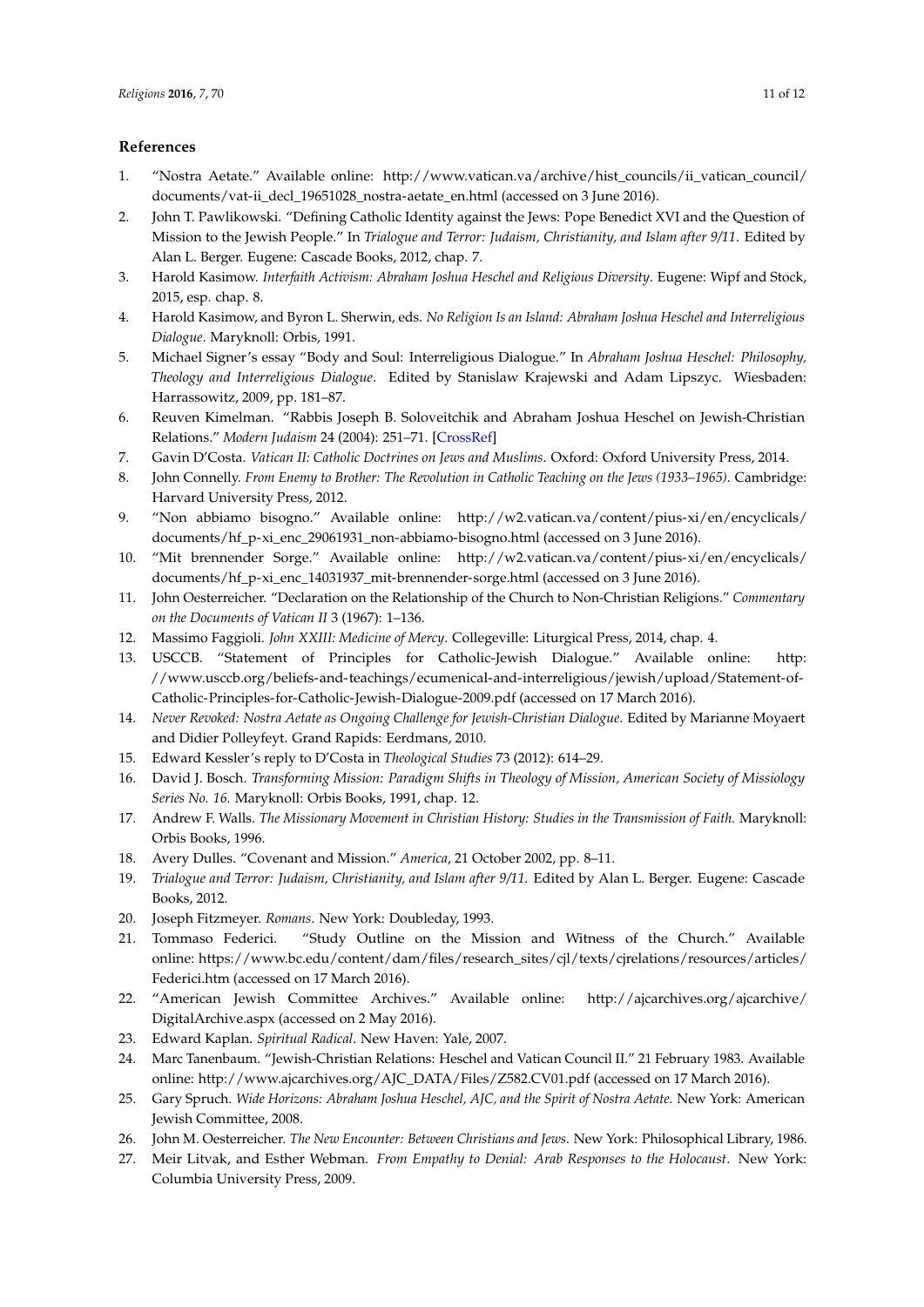## **References**

- <span id="page-10-0"></span>1. "Nostra Aetate." Available online: [http://www.vatican.va/archive/hist\\_councils/ii\\_vatican\\_council/](http://www.vatican.va/archive/hist_councils/ii_vatican_council/documents/vat-ii_decl_19651028_nostra-aetate_en.html) [documents/vat-ii\\_decl\\_19651028\\_nostra-aetate\\_en.html](http://www.vatican.va/archive/hist_councils/ii_vatican_council/documents/vat-ii_decl_19651028_nostra-aetate_en.html) (accessed on 3 June 2016).
- <span id="page-10-1"></span>2. John T. Pawlikowski. "Defining Catholic Identity against the Jews: Pope Benedict XVI and the Question of Mission to the Jewish People." In *Trialogue and Terror: Judaism, Christianity, and Islam after 9/11*. Edited by Alan L. Berger. Eugene: Cascade Books, 2012, chap. 7.
- <span id="page-10-4"></span>3. Harold Kasimow. *Interfaith Activism: Abraham Joshua Heschel and Religious Diversity*. Eugene: Wipf and Stock, 2015, esp. chap. 8.
- 4. Harold Kasimow, and Byron L. Sherwin, eds. *No Religion Is an Island: Abraham Joshua Heschel and Interreligious Dialogue*. Maryknoll: Orbis, 1991.
- <span id="page-10-5"></span>5. Michael Signer's essay "Body and Soul: Interreligious Dialogue." In *Abraham Joshua Heschel: Philosophy, Theology and Interreligious Dialogue*. Edited by Stanislaw Krajewski and Adam Lipszyc. Wiesbaden: Harrassowitz, 2009, pp. 181–87.
- <span id="page-10-6"></span>6. Reuven Kimelman. "Rabbis Joseph B. Soloveitchik and Abraham Joshua Heschel on Jewish-Christian Relations." *Modern Judaism* 24 (2004): 251–71. [\[CrossRef\]](http://dx.doi.org/10.1093/mj/kjh019)
- <span id="page-10-7"></span>7. Gavin D'Costa. *Vatican II: Catholic Doctrines on Jews and Muslims*. Oxford: Oxford University Press, 2014.
- <span id="page-10-8"></span>8. John Connelly. *From Enemy to Brother: The Revolution in Catholic Teaching on the Jews (1933–1965)*. Cambridge: Harvard University Press, 2012.
- <span id="page-10-2"></span>9. "Non abbiamo bisogno." Available online: [http://w2.vatican.va/content/pius-xi/en/encyclicals/](http://w2.vatican.va/content/pius-xi/en/encyclicals/documents/hf_p-xi_enc_29061931_non-abbiamo-bisogno.html) [documents/hf\\_p-xi\\_enc\\_29061931\\_non-abbiamo-bisogno.html](http://w2.vatican.va/content/pius-xi/en/encyclicals/documents/hf_p-xi_enc_29061931_non-abbiamo-bisogno.html) (accessed on 3 June 2016).
- <span id="page-10-3"></span>10. "Mit brennender Sorge." Available online: [http://w2.vatican.va/content/pius-xi/en/encyclicals/](http://w2.vatican.va/content/pius-xi/en/encyclicals/documents/hf_p-xi_enc_14031937_mit-brennender-sorge.html) [documents/hf\\_p-xi\\_enc\\_14031937\\_mit-brennender-sorge.html](http://w2.vatican.va/content/pius-xi/en/encyclicals/documents/hf_p-xi_enc_14031937_mit-brennender-sorge.html) (accessed on 3 June 2016).
- <span id="page-10-9"></span>11. John Oesterreicher. "Declaration on the Relationship of the Church to Non-Christian Religions." *Commentary on the Documents of Vatican II* 3 (1967): 1–136.
- <span id="page-10-10"></span>12. Massimo Faggioli. *John XXIII: Medicine of Mercy*. Collegeville: Liturgical Press, 2014, chap. 4.
- 13. USCCB. "Statement of Principles for Catholic-Jewish Dialogue." Available online: [http:](http://www.usccb.org/beliefs-and-teachings/ecumenical-and-interreligious/jewish/upload/Statement-of-Catholic-Principles-for-Catholic-Jewish-Dialogue-2009.pdf) [//www.usccb.org/beliefs-and-teachings/ecumenical-and-interreligious/jewish/upload/Statement-of-](http://www.usccb.org/beliefs-and-teachings/ecumenical-and-interreligious/jewish/upload/Statement-of-Catholic-Principles-for-Catholic-Jewish-Dialogue-2009.pdf)[Catholic-Principles-for-Catholic-Jewish-Dialogue-2009.pdf](http://www.usccb.org/beliefs-and-teachings/ecumenical-and-interreligious/jewish/upload/Statement-of-Catholic-Principles-for-Catholic-Jewish-Dialogue-2009.pdf) (accessed on 17 March 2016).
- <span id="page-10-11"></span>14. *Never Revoked: Nostra Aetate as Ongoing Challenge for Jewish-Christian Dialogue*. Edited by Marianne Moyaert and Didier Polleyfeyt. Grand Rapids: Eerdmans, 2010.
- <span id="page-10-12"></span>15. Edward Kessler's reply to D'Costa in *Theological Studies* 73 (2012): 614–29.
- <span id="page-10-13"></span>16. David J. Bosch. *Transforming Mission: Paradigm Shifts in Theology of Mission, American Society of Missiology Series No. 16.* Maryknoll: Orbis Books, 1991, chap. 12.
- <span id="page-10-14"></span>17. Andrew F. Walls. *The Missionary Movement in Christian History: Studies in the Transmission of Faith.* Maryknoll: Orbis Books, 1996.
- <span id="page-10-15"></span>18. Avery Dulles. "Covenant and Mission." *America*, 21 October 2002, pp. 8–11.
- <span id="page-10-16"></span>19. *Trialogue and Terror: Judaism, Christianity, and Islam after 9/11.* Edited by Alan L. Berger. Eugene: Cascade Books, 2012.
- <span id="page-10-17"></span>20. Joseph Fitzmeyer. *Romans*. New York: Doubleday, 1993.
- <span id="page-10-18"></span>21. Tommaso Federici. "Study Outline on the Mission and Witness of the Church." Available online: [https://www.bc.edu/content/dam/files/research\\_sites/cjl/texts/cjrelations/resources/articles/](https://www.bc.edu/content/dam/files/research_sites/cjl/texts/cjrelations/resources/articles/Federici.htm) [Federici.htm](https://www.bc.edu/content/dam/files/research_sites/cjl/texts/cjrelations/resources/articles/Federici.htm) (accessed on 17 March 2016).
- <span id="page-10-19"></span>22. "American Jewish Committee Archives." Available online: [http://ajcarchives.org/ajcarchive/](http://ajcarchives.org/ajcarchive/DigitalArchive.aspx) [DigitalArchive.aspx](http://ajcarchives.org/ajcarchive/DigitalArchive.aspx) (accessed on 2 May 2016).
- <span id="page-10-20"></span>23. Edward Kaplan. *Spiritual Radical*. New Haven: Yale, 2007.
- <span id="page-10-21"></span>24. Marc Tanenbaum. "Jewish-Christian Relations: Heschel and Vatican Council II." 21 February 1983. Available online: [http://www.ajcarchives.org/AJC\\_DATA/Files/Z582.CV01.pdf](http://www.ajcarchives.org/AJC_DATA/Files/Z582.CV01.pdf) (accessed on 17 March 2016).
- <span id="page-10-22"></span>25. Gary Spruch. *Wide Horizons: Abraham Joshua Heschel, AJC, and the Spirit of Nostra Aetate*. New York: American Jewish Committee, 2008.
- <span id="page-10-23"></span>26. John M. Oesterreicher. *The New Encounter: Between Christians and Jews*. New York: Philosophical Library, 1986.
- <span id="page-10-24"></span>27. Meir Litvak, and Esther Webman. *From Empathy to Denial: Arab Responses to the Holocaust*. New York: Columbia University Press, 2009.